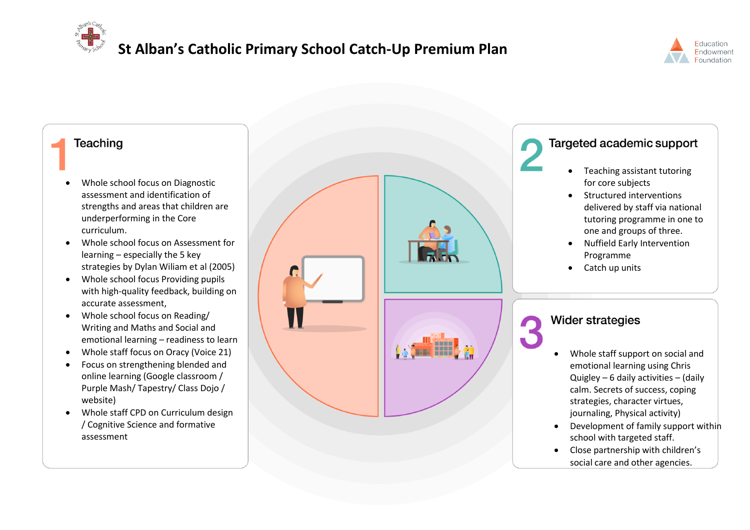**St Alban's Catholic Primary School Catch-Up Premium Plan** 



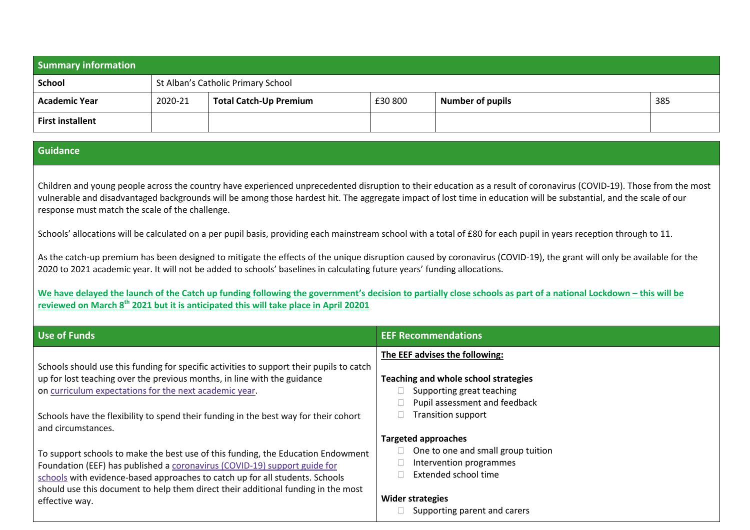| <b>Summary information</b> |                                    |                               |         |                         |     |
|----------------------------|------------------------------------|-------------------------------|---------|-------------------------|-----|
| School                     | St Alban's Catholic Primary School |                               |         |                         |     |
| <b>Academic Year</b>       | 2020-21                            | <b>Total Catch-Up Premium</b> | £30 800 | <b>Number of pupils</b> | 385 |
| <b>First installent</b>    |                                    |                               |         |                         |     |

## **Guidance**

Children and young people across the country have experienced unprecedented disruption to their education as a result of coronavirus (COVID-19). Those from the most vulnerable and disadvantaged backgrounds will be among those hardest hit. The aggregate impact of lost time in education will be substantial, and the scale of our response must match the scale of the challenge.

Schools' allocations will be calculated on a per pupil basis, providing each mainstream school with a total of £80 for each pupil in years reception through to 11.

As the catch-up premium has been designed to mitigate the effects of the unique disruption caused by coronavirus (COVID-19), the grant will only be available for the 2020 to 2021 academic year. It will not be added to schools' baselines in calculating future years' funding allocations.

**We have delayed the launch of the Catch up funding following the government's decision to partially close schools as part of a national Lockdown – this will be reviewed on March 8th 2021 but it is anticipated this will take place in April 20201**

| <b>Use of Funds</b>                                                                                                                                                  | <b>EEF Recommendations</b>                                 |
|----------------------------------------------------------------------------------------------------------------------------------------------------------------------|------------------------------------------------------------|
|                                                                                                                                                                      | The EEF advises the following:                             |
| Schools should use this funding for specific activities to support their pupils to catch<br>up for lost teaching over the previous months, in line with the guidance | Teaching and whole school strategies                       |
| on curriculum expectations for the next academic year.                                                                                                               | Supporting great teaching                                  |
|                                                                                                                                                                      | Pupil assessment and feedback<br><b>Transition support</b> |
| Schools have the flexibility to spend their funding in the best way for their cohort<br>and circumstances.                                                           |                                                            |
|                                                                                                                                                                      | <b>Targeted approaches</b>                                 |
| To support schools to make the best use of this funding, the Education Endowment                                                                                     | One to one and small group tuition                         |
| Foundation (EEF) has published a coronavirus (COVID-19) support guide for                                                                                            | Intervention programmes<br>Extended school time            |
| schools with evidence-based approaches to catch up for all students. Schools<br>should use this document to help them direct their additional funding in the most    |                                                            |
| effective way.                                                                                                                                                       | Wider strategies                                           |
|                                                                                                                                                                      | Supporting parent and carers                               |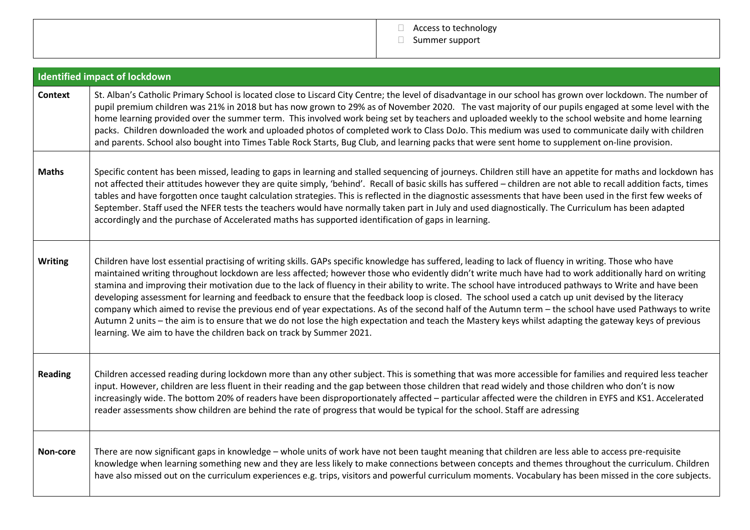

|                | <b>Identified impact of lockdown</b>                                                                                                                                                                                                                                                                                                                                                                                                                                                                                                                                                                                                                                                                                                                                                                                                                                                                                                                                                                                         |
|----------------|------------------------------------------------------------------------------------------------------------------------------------------------------------------------------------------------------------------------------------------------------------------------------------------------------------------------------------------------------------------------------------------------------------------------------------------------------------------------------------------------------------------------------------------------------------------------------------------------------------------------------------------------------------------------------------------------------------------------------------------------------------------------------------------------------------------------------------------------------------------------------------------------------------------------------------------------------------------------------------------------------------------------------|
| <b>Context</b> | St. Alban's Catholic Primary School is located close to Liscard City Centre; the level of disadvantage in our school has grown over lockdown. The number of<br>pupil premium children was 21% in 2018 but has now grown to 29% as of November 2020. The vast majority of our pupils engaged at some level with the<br>home learning provided over the summer term. This involved work being set by teachers and uploaded weekly to the school website and home learning<br>packs. Children downloaded the work and uploaded photos of completed work to Class DoJo. This medium was used to communicate daily with children<br>and parents. School also bought into Times Table Rock Starts, Bug Club, and learning packs that were sent home to supplement on-line provision.                                                                                                                                                                                                                                               |
| <b>Maths</b>   | Specific content has been missed, leading to gaps in learning and stalled sequencing of journeys. Children still have an appetite for maths and lockdown has<br>not affected their attitudes however they are quite simply, 'behind'. Recall of basic skills has suffered - children are not able to recall addition facts, times<br>tables and have forgotten once taught calculation strategies. This is reflected in the diagnostic assessments that have been used in the first few weeks of<br>September. Staff used the NFER tests the teachers would have normally taken part in July and used diagnostically. The Curriculum has been adapted<br>accordingly and the purchase of Accelerated maths has supported identification of gaps in learning.                                                                                                                                                                                                                                                                 |
| <b>Writing</b> | Children have lost essential practising of writing skills. GAPs specific knowledge has suffered, leading to lack of fluency in writing. Those who have<br>maintained writing throughout lockdown are less affected; however those who evidently didn't write much have had to work additionally hard on writing<br>stamina and improving their motivation due to the lack of fluency in their ability to write. The school have introduced pathways to Write and have been<br>developing assessment for learning and feedback to ensure that the feedback loop is closed. The school used a catch up unit devised by the literacy<br>company which aimed to revise the previous end of year expectations. As of the second half of the Autumn term - the school have used Pathways to write<br>Autumn 2 units - the aim is to ensure that we do not lose the high expectation and teach the Mastery keys whilst adapting the gateway keys of previous<br>learning. We aim to have the children back on track by Summer 2021. |
| <b>Reading</b> | Children accessed reading during lockdown more than any other subject. This is something that was more accessible for families and required less teacher<br>input. However, children are less fluent in their reading and the gap between those children that read widely and those children who don't is now<br>increasingly wide. The bottom 20% of readers have been disproportionately affected - particular affected were the children in EYFS and KS1. Accelerated<br>reader assessments show children are behind the rate of progress that would be typical for the school. Staff are adressing                                                                                                                                                                                                                                                                                                                                                                                                                       |
| Non-core       | There are now significant gaps in knowledge - whole units of work have not been taught meaning that children are less able to access pre-requisite<br>knowledge when learning something new and they are less likely to make connections between concepts and themes throughout the curriculum. Children<br>have also missed out on the curriculum experiences e.g. trips, visitors and powerful curriculum moments. Vocabulary has been missed in the core subjects.                                                                                                                                                                                                                                                                                                                                                                                                                                                                                                                                                        |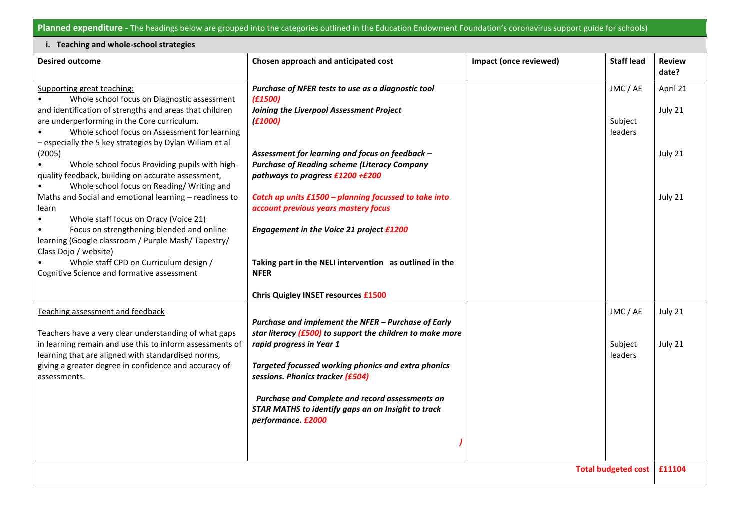**Planned expenditure -** The headings below are grouped into the categories outlined in the Education Endowment Foundation's coronavirus support guide for schools)

| i. Teaching and whole-school strategies                                                                                                                                                                                                                                                                                      |                                                                                                                                                                                                                                                                                                                                                                                 |                        |                                |                        |  |  |
|------------------------------------------------------------------------------------------------------------------------------------------------------------------------------------------------------------------------------------------------------------------------------------------------------------------------------|---------------------------------------------------------------------------------------------------------------------------------------------------------------------------------------------------------------------------------------------------------------------------------------------------------------------------------------------------------------------------------|------------------------|--------------------------------|------------------------|--|--|
| <b>Desired outcome</b>                                                                                                                                                                                                                                                                                                       | Chosen approach and anticipated cost                                                                                                                                                                                                                                                                                                                                            | Impact (once reviewed) | <b>Staff lead</b>              | <b>Review</b><br>date? |  |  |
| Supporting great teaching:<br>Whole school focus on Diagnostic assessment<br>and identification of strengths and areas that children<br>are underperforming in the Core curriculum.<br>Whole school focus on Assessment for learning<br>- especially the 5 key strategies by Dylan Wiliam et al                              | Purchase of NFER tests to use as a diagnostic tool<br>(E1500)<br>Joining the Liverpool Assessment Project<br>(E1000)                                                                                                                                                                                                                                                            |                        | JMC / AE<br>Subject<br>leaders | April 21<br>July 21    |  |  |
| (2005)<br>Whole school focus Providing pupils with high-<br>quality feedback, building on accurate assessment,<br>Whole school focus on Reading/Writing and                                                                                                                                                                  | Assessment for learning and focus on feedback -<br><b>Purchase of Reading scheme (Literacy Company</b><br>pathways to progress £1200 +£200                                                                                                                                                                                                                                      |                        |                                | July 21                |  |  |
| Maths and Social and emotional learning - readiness to<br>learn<br>Whole staff focus on Oracy (Voice 21)<br>Focus on strengthening blended and online<br>learning (Google classroom / Purple Mash/Tapestry/<br>Class Dojo / website)<br>Whole staff CPD on Curriculum design /<br>Cognitive Science and formative assessment | Catch up units £1500 - planning focussed to take into<br>account previous years mastery focus<br>Engagement in the Voice 21 project £1200<br>Taking part in the NELI intervention as outlined in the<br><b>NFER</b>                                                                                                                                                             |                        |                                | July 21                |  |  |
|                                                                                                                                                                                                                                                                                                                              | <b>Chris Quigley INSET resources £1500</b>                                                                                                                                                                                                                                                                                                                                      |                        |                                |                        |  |  |
| Teaching assessment and feedback<br>Teachers have a very clear understanding of what gaps<br>in learning remain and use this to inform assessments of<br>learning that are aligned with standardised norms,<br>giving a greater degree in confidence and accuracy of<br>assessments.                                         | Purchase and implement the NFER - Purchase of Early<br>star literacy $(E500)$ to support the children to make more<br>rapid progress in Year 1<br>Targeted focussed working phonics and extra phonics<br>sessions. Phonics tracker (£504)<br>Purchase and Complete and record assessments on<br><b>STAR MATHS to identify gaps an on Insight to track</b><br>performance. £2000 |                        | JMC / AE<br>Subject<br>leaders | July 21<br>July 21     |  |  |
| <b>Total budgeted cost</b>                                                                                                                                                                                                                                                                                                   |                                                                                                                                                                                                                                                                                                                                                                                 |                        |                                | £11104                 |  |  |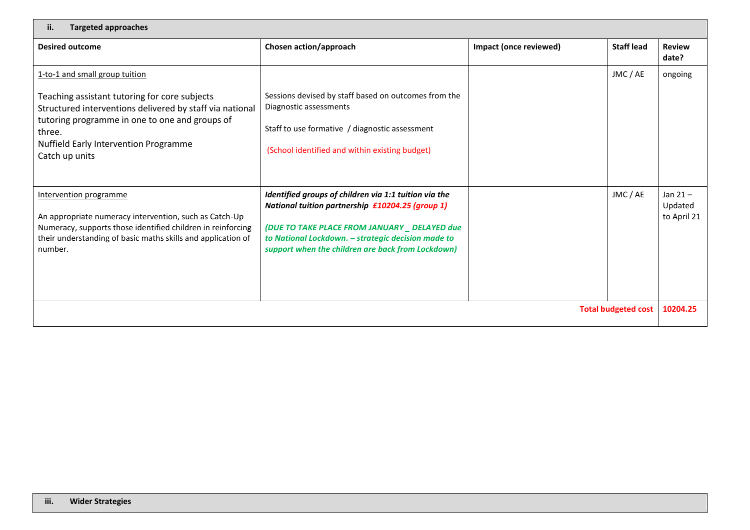| <b>Targeted approaches</b><br>ii.                                                                                                                                                                                                                                  |                                                                                                                                                                                                                                                                       |                        |                   |                                      |
|--------------------------------------------------------------------------------------------------------------------------------------------------------------------------------------------------------------------------------------------------------------------|-----------------------------------------------------------------------------------------------------------------------------------------------------------------------------------------------------------------------------------------------------------------------|------------------------|-------------------|--------------------------------------|
| <b>Desired outcome</b>                                                                                                                                                                                                                                             | Chosen action/approach                                                                                                                                                                                                                                                | Impact (once reviewed) | <b>Staff lead</b> | <b>Review</b><br>date?               |
| 1-to-1 and small group tuition<br>Teaching assistant tutoring for core subjects<br>Structured interventions delivered by staff via national<br>tutoring programme in one to one and groups of<br>three.<br>Nuffield Early Intervention Programme<br>Catch up units | Sessions devised by staff based on outcomes from the<br>Diagnostic assessments<br>Staff to use formative / diagnostic assessment<br>(School identified and within existing budget)                                                                                    |                        | JMC / AE          | ongoing                              |
| Intervention programme<br>An appropriate numeracy intervention, such as Catch-Up<br>Numeracy, supports those identified children in reinforcing<br>their understanding of basic maths skills and application of<br>number.                                         | Identified groups of children via 1:1 tuition via the<br>National tuition partnership £10204.25 (group 1)<br>(DUE TO TAKE PLACE FROM JANUARY _ DELAYED due<br>to National Lockdown. - strategic decision made to<br>support when the children are back from Lockdown) |                        | JMC / AE          | Jan $21 -$<br>Updated<br>to April 21 |
| <b>Total budgeted cost</b>                                                                                                                                                                                                                                         |                                                                                                                                                                                                                                                                       |                        |                   | 10204.25                             |